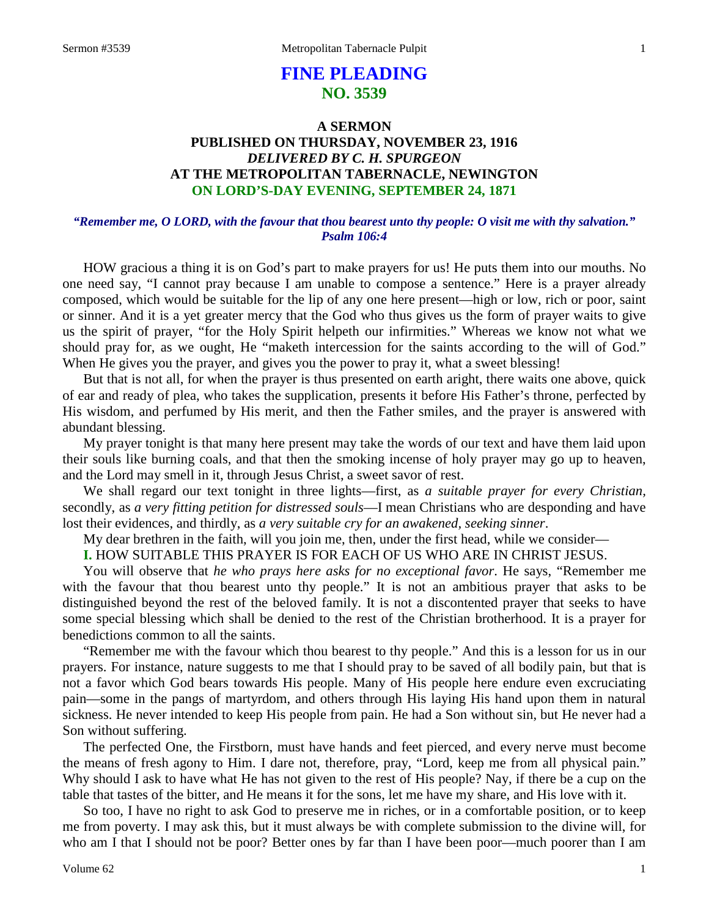# **FINE PLEADING NO. 3539**

## **A SERMON PUBLISHED ON THURSDAY, NOVEMBER 23, 1916** *DELIVERED BY C. H. SPURGEON* **AT THE METROPOLITAN TABERNACLE, NEWINGTON ON LORD'S-DAY EVENING, SEPTEMBER 24, 1871**

### *"Remember me, O LORD, with the favour that thou bearest unto thy people: O visit me with thy salvation." Psalm 106:4*

HOW gracious a thing it is on God's part to make prayers for us! He puts them into our mouths. No one need say, "I cannot pray because I am unable to compose a sentence." Here is a prayer already composed, which would be suitable for the lip of any one here present—high or low, rich or poor, saint or sinner. And it is a yet greater mercy that the God who thus gives us the form of prayer waits to give us the spirit of prayer, "for the Holy Spirit helpeth our infirmities." Whereas we know not what we should pray for, as we ought, He "maketh intercession for the saints according to the will of God." When He gives you the prayer, and gives you the power to pray it, what a sweet blessing!

But that is not all, for when the prayer is thus presented on earth aright, there waits one above, quick of ear and ready of plea, who takes the supplication, presents it before His Father's throne, perfected by His wisdom, and perfumed by His merit, and then the Father smiles, and the prayer is answered with abundant blessing.

My prayer tonight is that many here present may take the words of our text and have them laid upon their souls like burning coals, and that then the smoking incense of holy prayer may go up to heaven, and the Lord may smell in it, through Jesus Christ, a sweet savor of rest.

We shall regard our text tonight in three lights—first, as *a suitable prayer for every Christian,* secondly, as *a very fitting petition for distressed souls*—I mean Christians who are desponding and have lost their evidences, and thirdly, as *a very suitable cry for an awakened, seeking sinner*.

My dear brethren in the faith, will you join me, then, under the first head, while we consider—

## **I.** HOW SUITABLE THIS PRAYER IS FOR EACH OF US WHO ARE IN CHRIST JESUS.

You will observe that *he who prays here asks for no exceptional favor*. He says, "Remember me with the favour that thou bearest unto thy people." It is not an ambitious prayer that asks to be distinguished beyond the rest of the beloved family. It is not a discontented prayer that seeks to have some special blessing which shall be denied to the rest of the Christian brotherhood. It is a prayer for benedictions common to all the saints.

"Remember me with the favour which thou bearest to thy people." And this is a lesson for us in our prayers. For instance, nature suggests to me that I should pray to be saved of all bodily pain, but that is not a favor which God bears towards His people. Many of His people here endure even excruciating pain—some in the pangs of martyrdom, and others through His laying His hand upon them in natural sickness. He never intended to keep His people from pain. He had a Son without sin, but He never had a Son without suffering.

The perfected One, the Firstborn, must have hands and feet pierced, and every nerve must become the means of fresh agony to Him. I dare not, therefore, pray, "Lord, keep me from all physical pain." Why should I ask to have what He has not given to the rest of His people? Nay, if there be a cup on the table that tastes of the bitter, and He means it for the sons, let me have my share, and His love with it.

So too, I have no right to ask God to preserve me in riches, or in a comfortable position, or to keep me from poverty. I may ask this, but it must always be with complete submission to the divine will, for who am I that I should not be poor? Better ones by far than I have been poor—much poorer than I am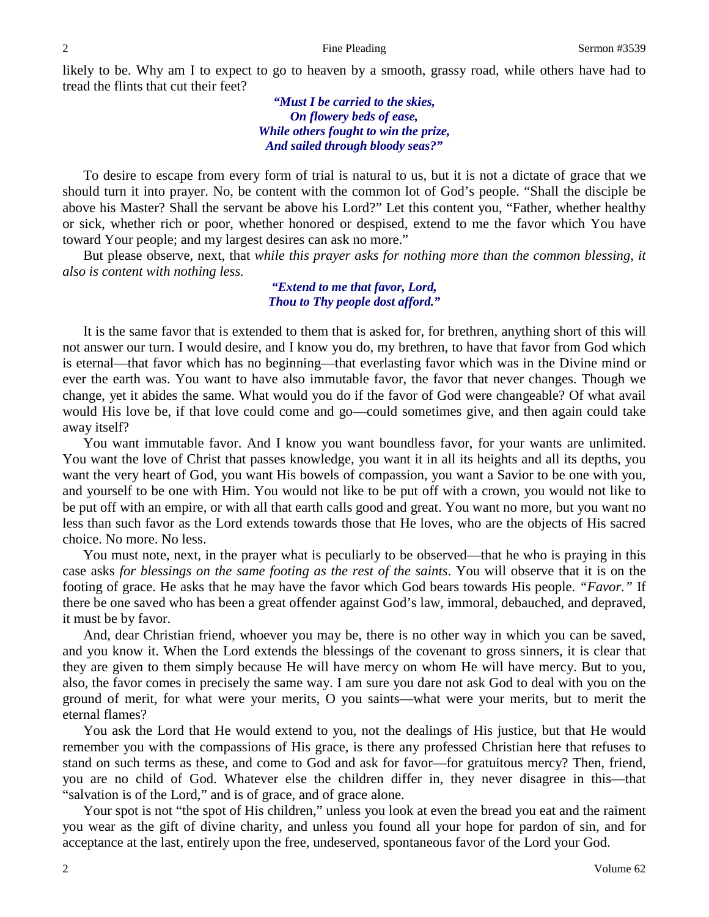likely to be. Why am I to expect to go to heaven by a smooth, grassy road, while others have had to tread the flints that cut their feet?

> *"Must I be carried to the skies, On flowery beds of ease, While others fought to win the prize, And sailed through bloody seas?"*

To desire to escape from every form of trial is natural to us, but it is not a dictate of grace that we should turn it into prayer. No, be content with the common lot of God's people. "Shall the disciple be above his Master? Shall the servant be above his Lord?" Let this content you, "Father, whether healthy or sick, whether rich or poor, whether honored or despised, extend to me the favor which You have toward Your people; and my largest desires can ask no more."

But please observe, next, that *while this prayer asks for nothing more than the common blessing, it also is content with nothing less.*

> *"Extend to me that favor, Lord, Thou to Thy people dost afford."*

It is the same favor that is extended to them that is asked for, for brethren, anything short of this will not answer our turn. I would desire, and I know you do, my brethren, to have that favor from God which is eternal—that favor which has no beginning—that everlasting favor which was in the Divine mind or ever the earth was. You want to have also immutable favor, the favor that never changes. Though we change, yet it abides the same. What would you do if the favor of God were changeable? Of what avail would His love be, if that love could come and go—could sometimes give, and then again could take away itself?

You want immutable favor. And I know you want boundless favor, for your wants are unlimited. You want the love of Christ that passes knowledge, you want it in all its heights and all its depths, you want the very heart of God, you want His bowels of compassion, you want a Savior to be one with you, and yourself to be one with Him. You would not like to be put off with a crown, you would not like to be put off with an empire, or with all that earth calls good and great. You want no more, but you want no less than such favor as the Lord extends towards those that He loves, who are the objects of His sacred choice. No more. No less.

You must note, next, in the prayer what is peculiarly to be observed—that he who is praying in this case asks *for blessings on the same footing as the rest of the saints*. You will observe that it is on the footing of grace. He asks that he may have the favor which God bears towards His people. *"Favor."* If there be one saved who has been a great offender against God's law, immoral, debauched, and depraved, it must be by favor.

And, dear Christian friend, whoever you may be, there is no other way in which you can be saved, and you know it. When the Lord extends the blessings of the covenant to gross sinners, it is clear that they are given to them simply because He will have mercy on whom He will have mercy. But to you, also, the favor comes in precisely the same way. I am sure you dare not ask God to deal with you on the ground of merit, for what were your merits, O you saints—what were your merits, but to merit the eternal flames?

You ask the Lord that He would extend to you, not the dealings of His justice, but that He would remember you with the compassions of His grace, is there any professed Christian here that refuses to stand on such terms as these, and come to God and ask for favor—for gratuitous mercy? Then, friend, you are no child of God. Whatever else the children differ in, they never disagree in this—that "salvation is of the Lord," and is of grace, and of grace alone.

Your spot is not "the spot of His children," unless you look at even the bread you eat and the raiment you wear as the gift of divine charity, and unless you found all your hope for pardon of sin, and for acceptance at the last, entirely upon the free, undeserved, spontaneous favor of the Lord your God.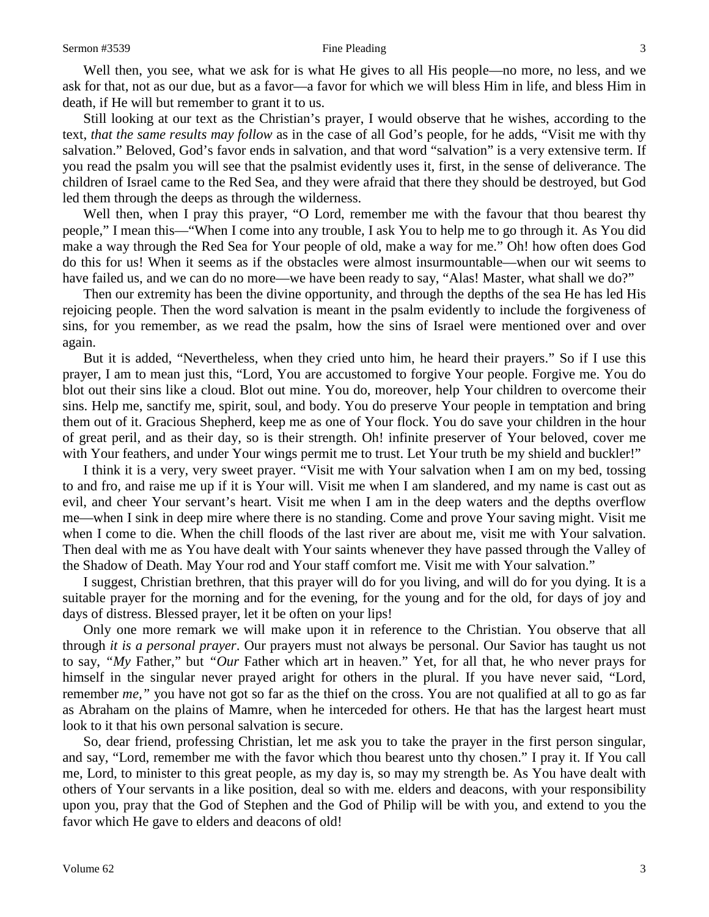Well then, you see, what we ask for is what He gives to all His people—no more, no less, and we ask for that, not as our due, but as a favor—a favor for which we will bless Him in life, and bless Him in death, if He will but remember to grant it to us.

Still looking at our text as the Christian's prayer, I would observe that he wishes, according to the text, *that the same results may follow* as in the case of all God's people, for he adds, "Visit me with thy salvation." Beloved, God's favor ends in salvation, and that word "salvation" is a very extensive term. If you read the psalm you will see that the psalmist evidently uses it, first, in the sense of deliverance. The children of Israel came to the Red Sea, and they were afraid that there they should be destroyed, but God led them through the deeps as through the wilderness.

Well then, when I pray this prayer, "O Lord, remember me with the favour that thou bearest thy people," I mean this—"When I come into any trouble, I ask You to help me to go through it. As You did make a way through the Red Sea for Your people of old, make a way for me." Oh! how often does God do this for us! When it seems as if the obstacles were almost insurmountable—when our wit seems to have failed us, and we can do no more—we have been ready to say, "Alas! Master, what shall we do?"

Then our extremity has been the divine opportunity, and through the depths of the sea He has led His rejoicing people. Then the word salvation is meant in the psalm evidently to include the forgiveness of sins, for you remember, as we read the psalm, how the sins of Israel were mentioned over and over again.

But it is added, "Nevertheless, when they cried unto him, he heard their prayers." So if I use this prayer, I am to mean just this, "Lord, You are accustomed to forgive Your people. Forgive me. You do blot out their sins like a cloud. Blot out mine. You do, moreover, help Your children to overcome their sins. Help me, sanctify me, spirit, soul, and body. You do preserve Your people in temptation and bring them out of it. Gracious Shepherd, keep me as one of Your flock. You do save your children in the hour of great peril, and as their day, so is their strength. Oh! infinite preserver of Your beloved, cover me with Your feathers, and under Your wings permit me to trust. Let Your truth be my shield and buckler!"

I think it is a very, very sweet prayer. "Visit me with Your salvation when I am on my bed, tossing to and fro, and raise me up if it is Your will. Visit me when I am slandered, and my name is cast out as evil, and cheer Your servant's heart. Visit me when I am in the deep waters and the depths overflow me—when I sink in deep mire where there is no standing. Come and prove Your saving might. Visit me when I come to die. When the chill floods of the last river are about me, visit me with Your salvation. Then deal with me as You have dealt with Your saints whenever they have passed through the Valley of the Shadow of Death. May Your rod and Your staff comfort me. Visit me with Your salvation."

I suggest, Christian brethren, that this prayer will do for you living, and will do for you dying. It is a suitable prayer for the morning and for the evening, for the young and for the old, for days of joy and days of distress. Blessed prayer, let it be often on your lips!

Only one more remark we will make upon it in reference to the Christian. You observe that all through *it is a personal prayer*. Our prayers must not always be personal. Our Savior has taught us not to say, *"My* Father," but *"Our* Father which art in heaven." Yet, for all that, he who never prays for himself in the singular never prayed aright for others in the plural. If you have never said, "Lord, remember *me,"* you have not got so far as the thief on the cross. You are not qualified at all to go as far as Abraham on the plains of Mamre, when he interceded for others. He that has the largest heart must look to it that his own personal salvation is secure.

So, dear friend, professing Christian, let me ask you to take the prayer in the first person singular, and say, "Lord, remember me with the favor which thou bearest unto thy chosen." I pray it. If You call me, Lord, to minister to this great people, as my day is, so may my strength be. As You have dealt with others of Your servants in a like position, deal so with me. elders and deacons, with your responsibility upon you, pray that the God of Stephen and the God of Philip will be with you, and extend to you the favor which He gave to elders and deacons of old!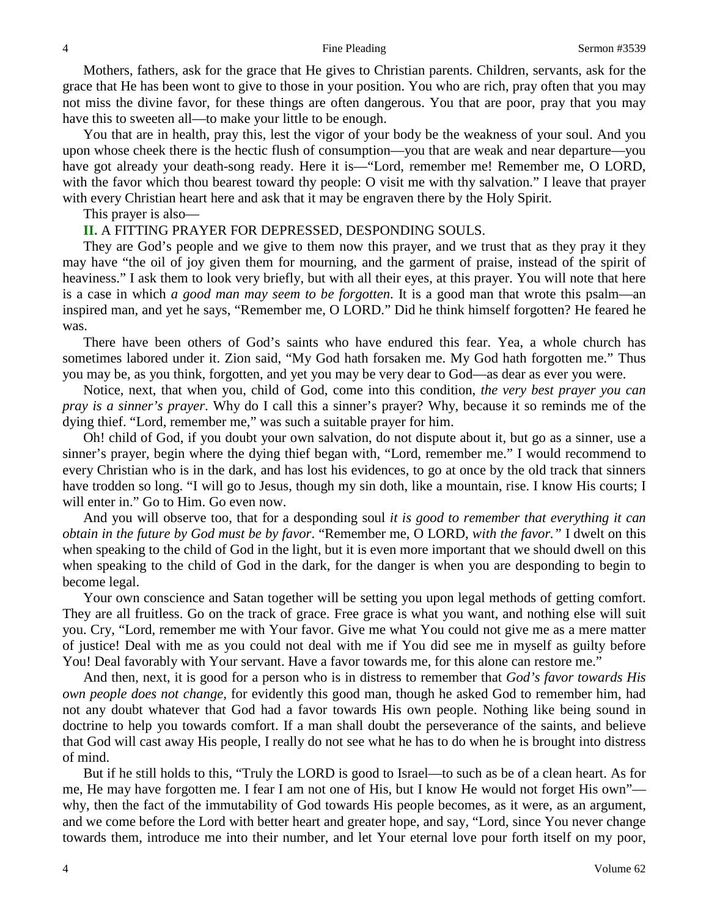Mothers, fathers, ask for the grace that He gives to Christian parents. Children, servants, ask for the grace that He has been wont to give to those in your position. You who are rich, pray often that you may not miss the divine favor, for these things are often dangerous. You that are poor, pray that you may have this to sweeten all—to make your little to be enough.

You that are in health, pray this, lest the vigor of your body be the weakness of your soul. And you upon whose cheek there is the hectic flush of consumption—you that are weak and near departure—you have got already your death-song ready. Here it is—"Lord, remember me! Remember me, O LORD, with the favor which thou bearest toward thy people: O visit me with thy salvation." I leave that prayer with every Christian heart here and ask that it may be engraven there by the Holy Spirit.

This prayer is also—

### **II.** A FITTING PRAYER FOR DEPRESSED, DESPONDING SOULS.

They are God's people and we give to them now this prayer, and we trust that as they pray it they may have "the oil of joy given them for mourning, and the garment of praise, instead of the spirit of heaviness." I ask them to look very briefly, but with all their eyes, at this prayer. You will note that here is a case in which *a good man may seem to be forgotten*. It is a good man that wrote this psalm—an inspired man, and yet he says, "Remember me, O LORD." Did he think himself forgotten? He feared he was.

There have been others of God's saints who have endured this fear. Yea, a whole church has sometimes labored under it. Zion said, "My God hath forsaken me. My God hath forgotten me." Thus you may be, as you think, forgotten, and yet you may be very dear to God—as dear as ever you were.

Notice, next, that when you, child of God, come into this condition, *the very best prayer you can pray is a sinner's prayer*. Why do I call this a sinner's prayer? Why, because it so reminds me of the dying thief. "Lord, remember me," was such a suitable prayer for him.

Oh! child of God, if you doubt your own salvation, do not dispute about it, but go as a sinner, use a sinner's prayer, begin where the dying thief began with, "Lord, remember me." I would recommend to every Christian who is in the dark, and has lost his evidences, to go at once by the old track that sinners have trodden so long. "I will go to Jesus, though my sin doth, like a mountain, rise. I know His courts; I will enter in." Go to Him. Go even now.

And you will observe too, that for a desponding soul *it is good to remember that everything it can obtain in the future by God must be by favor*. "Remember me, O LORD, *with the favor."* I dwelt on this when speaking to the child of God in the light, but it is even more important that we should dwell on this when speaking to the child of God in the dark, for the danger is when you are desponding to begin to become legal.

Your own conscience and Satan together will be setting you upon legal methods of getting comfort. They are all fruitless. Go on the track of grace. Free grace is what you want, and nothing else will suit you. Cry, "Lord, remember me with Your favor. Give me what You could not give me as a mere matter of justice! Deal with me as you could not deal with me if You did see me in myself as guilty before You! Deal favorably with Your servant. Have a favor towards me, for this alone can restore me."

And then, next, it is good for a person who is in distress to remember that *God's favor towards His own people does not change,* for evidently this good man, though he asked God to remember him, had not any doubt whatever that God had a favor towards His own people. Nothing like being sound in doctrine to help you towards comfort. If a man shall doubt the perseverance of the saints, and believe that God will cast away His people, I really do not see what he has to do when he is brought into distress of mind.

But if he still holds to this, "Truly the LORD is good to Israel—to such as be of a clean heart. As for me, He may have forgotten me. I fear I am not one of His, but I know He would not forget His own" why, then the fact of the immutability of God towards His people becomes, as it were, as an argument, and we come before the Lord with better heart and greater hope, and say, "Lord, since You never change towards them, introduce me into their number, and let Your eternal love pour forth itself on my poor,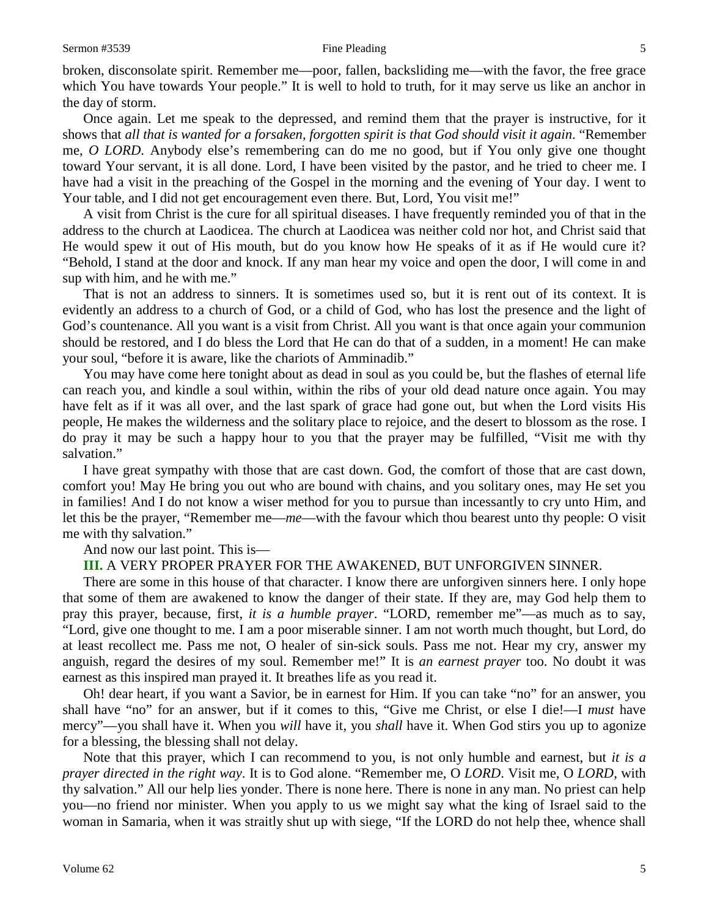broken, disconsolate spirit. Remember me—poor, fallen, backsliding me—with the favor, the free grace which You have towards Your people." It is well to hold to truth, for it may serve us like an anchor in the day of storm.

Once again. Let me speak to the depressed, and remind them that the prayer is instructive, for it shows that *all that is wanted for a forsaken, forgotten spirit is that God should visit it again*. "Remember me, *O LORD*. Anybody else's remembering can do me no good, but if You only give one thought toward Your servant, it is all done. Lord, I have been visited by the pastor, and he tried to cheer me. I have had a visit in the preaching of the Gospel in the morning and the evening of Your day. I went to Your table, and I did not get encouragement even there. But, Lord, You visit me!"

A visit from Christ is the cure for all spiritual diseases. I have frequently reminded you of that in the address to the church at Laodicea. The church at Laodicea was neither cold nor hot, and Christ said that He would spew it out of His mouth, but do you know how He speaks of it as if He would cure it? "Behold, I stand at the door and knock. If any man hear my voice and open the door, I will come in and sup with him, and he with me."

That is not an address to sinners. It is sometimes used so, but it is rent out of its context. It is evidently an address to a church of God, or a child of God, who has lost the presence and the light of God's countenance. All you want is a visit from Christ. All you want is that once again your communion should be restored, and I do bless the Lord that He can do that of a sudden, in a moment! He can make your soul, "before it is aware, like the chariots of Amminadib."

You may have come here tonight about as dead in soul as you could be, but the flashes of eternal life can reach you, and kindle a soul within, within the ribs of your old dead nature once again. You may have felt as if it was all over, and the last spark of grace had gone out, but when the Lord visits His people, He makes the wilderness and the solitary place to rejoice, and the desert to blossom as the rose. I do pray it may be such a happy hour to you that the prayer may be fulfilled, "Visit me with thy salvation."

I have great sympathy with those that are cast down. God, the comfort of those that are cast down, comfort you! May He bring you out who are bound with chains, and you solitary ones, may He set you in families! And I do not know a wiser method for you to pursue than incessantly to cry unto Him, and let this be the prayer, "Remember me—*me*—with the favour which thou bearest unto thy people: O visit me with thy salvation."

### And now our last point. This is—

#### **III.** A VERY PROPER PRAYER FOR THE AWAKENED, BUT UNFORGIVEN SINNER.

There are some in this house of that character. I know there are unforgiven sinners here. I only hope that some of them are awakened to know the danger of their state. If they are, may God help them to pray this prayer, because, first, *it is a humble prayer*. "LORD, remember me"—as much as to say, "Lord, give one thought to me. I am a poor miserable sinner. I am not worth much thought, but Lord, do at least recollect me. Pass me not, O healer of sin-sick souls. Pass me not. Hear my cry, answer my anguish, regard the desires of my soul. Remember me!" It is *an earnest prayer* too. No doubt it was earnest as this inspired man prayed it. It breathes life as you read it.

Oh! dear heart, if you want a Savior, be in earnest for Him. If you can take "no" for an answer, you shall have "no" for an answer, but if it comes to this, "Give me Christ, or else I die!—I *must* have mercy"—you shall have it. When you *will* have it, you *shall* have it. When God stirs you up to agonize for a blessing, the blessing shall not delay.

Note that this prayer, which I can recommend to you, is not only humble and earnest, but *it is a prayer directed in the right way*. It is to God alone. "Remember me, O *LORD*. Visit me, O *LORD*, with thy salvation." All our help lies yonder. There is none here. There is none in any man. No priest can help you—no friend nor minister. When you apply to us we might say what the king of Israel said to the woman in Samaria, when it was straitly shut up with siege, "If the LORD do not help thee, whence shall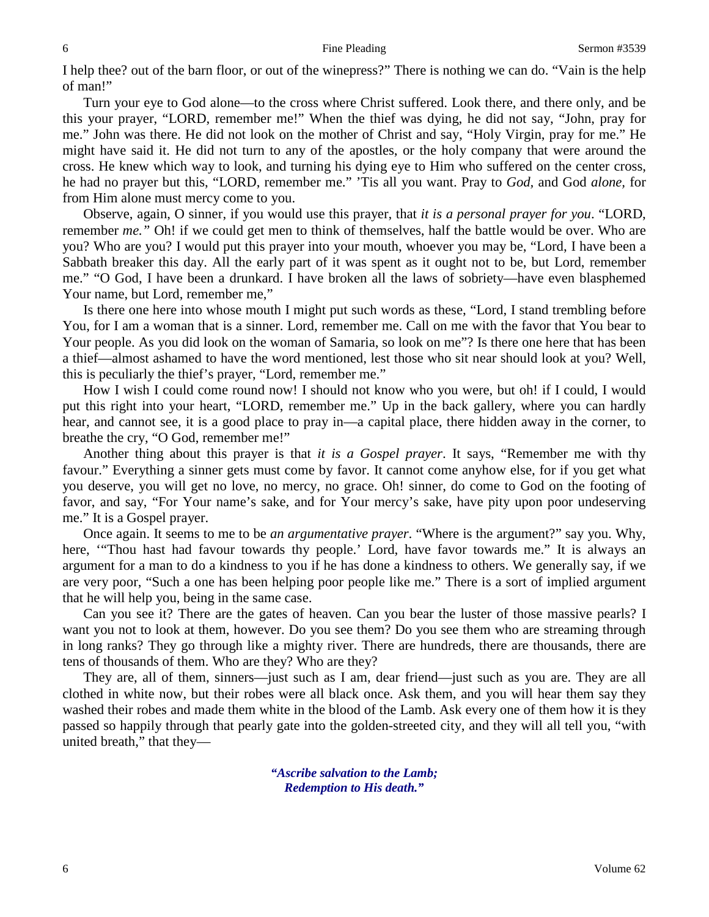I help thee? out of the barn floor, or out of the winepress?" There is nothing we can do. "Vain is the help of man!"

Turn your eye to God alone—to the cross where Christ suffered. Look there, and there only, and be this your prayer, "LORD, remember me!" When the thief was dying, he did not say, "John, pray for me." John was there. He did not look on the mother of Christ and say, "Holy Virgin, pray for me." He might have said it. He did not turn to any of the apostles, or the holy company that were around the cross. He knew which way to look, and turning his dying eye to Him who suffered on the center cross, he had no prayer but this, "LORD, remember me." 'Tis all you want. Pray to *God,* and God *alone,* for from Him alone must mercy come to you.

Observe, again, O sinner, if you would use this prayer, that *it is a personal prayer for you*. "LORD, remember *me.*" Oh! if we could get men to think of themselves, half the battle would be over. Who are you? Who are you? I would put this prayer into your mouth, whoever you may be, "Lord, I have been a Sabbath breaker this day. All the early part of it was spent as it ought not to be, but Lord, remember me." "O God, I have been a drunkard. I have broken all the laws of sobriety—have even blasphemed Your name, but Lord, remember me,"

Is there one here into whose mouth I might put such words as these, "Lord, I stand trembling before You, for I am a woman that is a sinner. Lord, remember me. Call on me with the favor that You bear to Your people. As you did look on the woman of Samaria, so look on me"? Is there one here that has been a thief—almost ashamed to have the word mentioned, lest those who sit near should look at you? Well, this is peculiarly the thief's prayer, "Lord, remember me."

How I wish I could come round now! I should not know who you were, but oh! if I could, I would put this right into your heart, "LORD, remember me." Up in the back gallery, where you can hardly hear, and cannot see, it is a good place to pray in—a capital place, there hidden away in the corner, to breathe the cry, "O God, remember me!"

Another thing about this prayer is that *it is a Gospel prayer*. It says, "Remember me with thy favour." Everything a sinner gets must come by favor. It cannot come anyhow else, for if you get what you deserve, you will get no love, no mercy, no grace. Oh! sinner, do come to God on the footing of favor, and say, "For Your name's sake, and for Your mercy's sake, have pity upon poor undeserving me." It is a Gospel prayer.

Once again. It seems to me to be *an argumentative prayer*. "Where is the argument?" say you. Why, here, '"Thou hast had favour towards thy people.' Lord, have favor towards me." It is always an argument for a man to do a kindness to you if he has done a kindness to others. We generally say, if we are very poor, "Such a one has been helping poor people like me." There is a sort of implied argument that he will help you, being in the same case.

Can you see it? There are the gates of heaven. Can you bear the luster of those massive pearls? I want you not to look at them, however. Do you see them? Do you see them who are streaming through in long ranks? They go through like a mighty river. There are hundreds, there are thousands, there are tens of thousands of them. Who are they? Who are they?

They are, all of them, sinners—just such as I am, dear friend—just such as you are. They are all clothed in white now, but their robes were all black once. Ask them, and you will hear them say they washed their robes and made them white in the blood of the Lamb. Ask every one of them how it is they passed so happily through that pearly gate into the golden-streeted city, and they will all tell you, "with united breath," that they—

> *"Ascribe salvation to the Lamb; Redemption to His death."*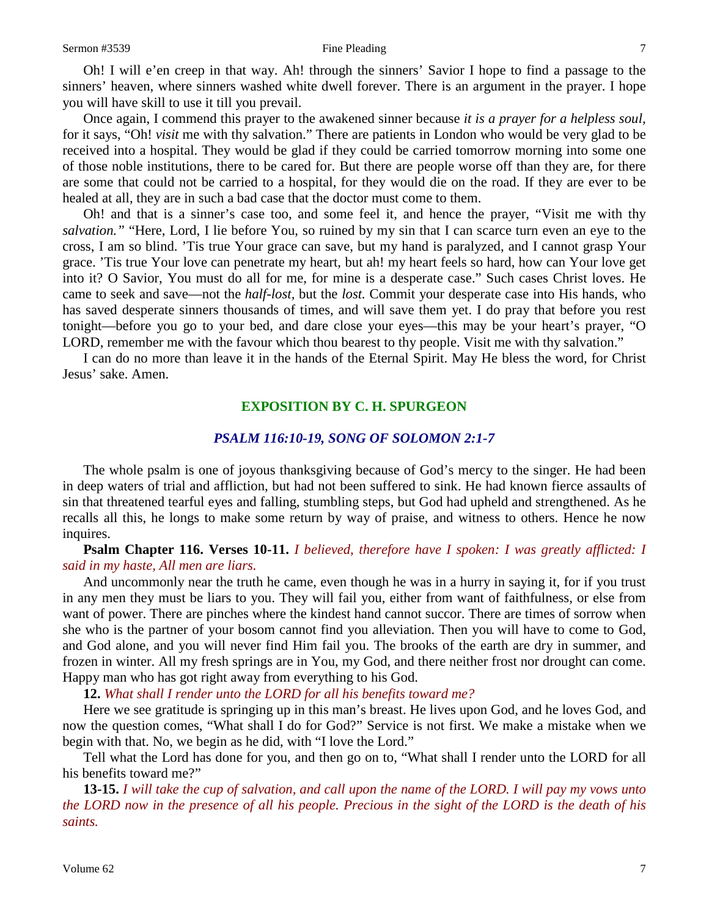Oh! I will e'en creep in that way. Ah! through the sinners' Savior I hope to find a passage to the sinners' heaven, where sinners washed white dwell forever. There is an argument in the prayer. I hope you will have skill to use it till you prevail.

Once again, I commend this prayer to the awakened sinner because *it is a prayer for a helpless soul,* for it says, "Oh! *visit* me with thy salvation." There are patients in London who would be very glad to be received into a hospital. They would be glad if they could be carried tomorrow morning into some one of those noble institutions, there to be cared for. But there are people worse off than they are, for there are some that could not be carried to a hospital, for they would die on the road. If they are ever to be healed at all, they are in such a bad case that the doctor must come to them.

Oh! and that is a sinner's case too, and some feel it, and hence the prayer, "Visit me with thy *salvation."* "Here, Lord, I lie before You, so ruined by my sin that I can scarce turn even an eye to the cross, I am so blind. 'Tis true Your grace can save, but my hand is paralyzed, and I cannot grasp Your grace. 'Tis true Your love can penetrate my heart, but ah! my heart feels so hard, how can Your love get into it? O Savior, You must do all for me, for mine is a desperate case." Such cases Christ loves. He came to seek and save—not the *half-lost,* but the *lost.* Commit your desperate case into His hands, who has saved desperate sinners thousands of times, and will save them yet. I do pray that before you rest tonight—before you go to your bed, and dare close your eyes—this may be your heart's prayer, "O LORD, remember me with the favour which thou bearest to thy people. Visit me with thy salvation."

I can do no more than leave it in the hands of the Eternal Spirit. May He bless the word, for Christ Jesus' sake. Amen.

#### **EXPOSITION BY C. H. SPURGEON**

### *PSALM 116:10-19, SONG OF SOLOMON 2:1-7*

The whole psalm is one of joyous thanksgiving because of God's mercy to the singer. He had been in deep waters of trial and affliction, but had not been suffered to sink. He had known fierce assaults of sin that threatened tearful eyes and falling, stumbling steps, but God had upheld and strengthened. As he recalls all this, he longs to make some return by way of praise, and witness to others. Hence he now inquires.

**Psalm Chapter 116. Verses 10-11.** *I believed, therefore have I spoken: I was greatly afflicted: I said in my haste, All men are liars.*

And uncommonly near the truth he came, even though he was in a hurry in saying it, for if you trust in any men they must be liars to you. They will fail you, either from want of faithfulness, or else from want of power. There are pinches where the kindest hand cannot succor. There are times of sorrow when she who is the partner of your bosom cannot find you alleviation. Then you will have to come to God, and God alone, and you will never find Him fail you. The brooks of the earth are dry in summer, and frozen in winter. All my fresh springs are in You, my God, and there neither frost nor drought can come. Happy man who has got right away from everything to his God.

**12.** *What shall I render unto the LORD for all his benefits toward me?*

Here we see gratitude is springing up in this man's breast. He lives upon God, and he loves God, and now the question comes, "What shall I do for God?" Service is not first. We make a mistake when we begin with that. No, we begin as he did, with "I love the Lord."

Tell what the Lord has done for you, and then go on to, "What shall I render unto the LORD for all his benefits toward me?"

**13-15.** *I will take the cup of salvation, and call upon the name of the LORD. I will pay my vows unto the LORD now in the presence of all his people. Precious in the sight of the LORD is the death of his saints.*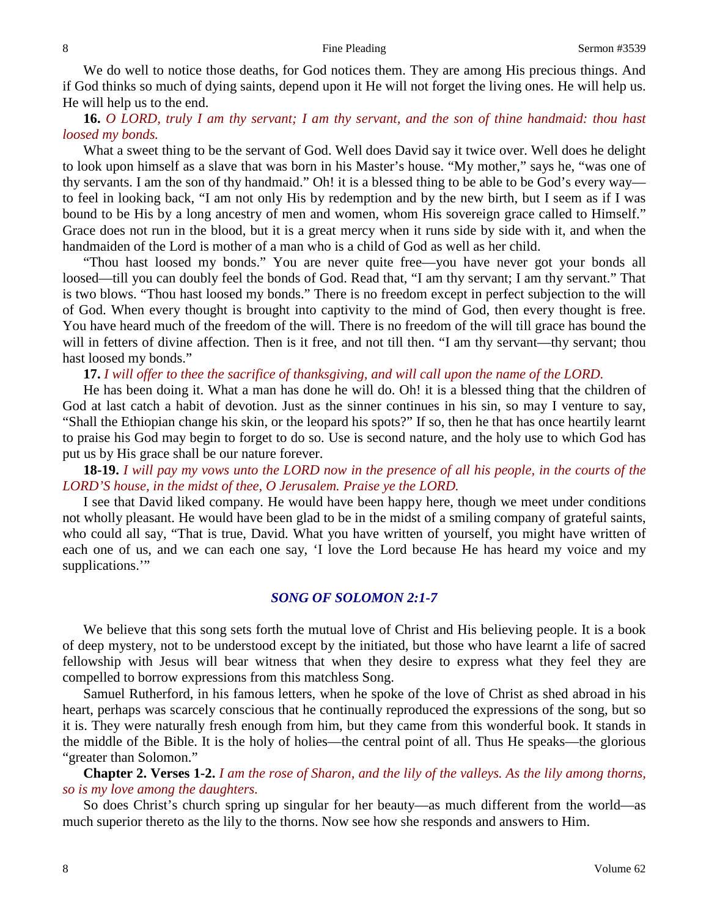We do well to notice those deaths, for God notices them. They are among His precious things. And if God thinks so much of dying saints, depend upon it He will not forget the living ones. He will help us. He will help us to the end.

## **16.** *O LORD, truly I am thy servant; I am thy servant, and the son of thine handmaid: thou hast loosed my bonds.*

What a sweet thing to be the servant of God. Well does David say it twice over. Well does he delight to look upon himself as a slave that was born in his Master's house. "My mother," says he, "was one of thy servants. I am the son of thy handmaid." Oh! it is a blessed thing to be able to be God's every way to feel in looking back, "I am not only His by redemption and by the new birth, but I seem as if I was bound to be His by a long ancestry of men and women, whom His sovereign grace called to Himself." Grace does not run in the blood, but it is a great mercy when it runs side by side with it, and when the handmaiden of the Lord is mother of a man who is a child of God as well as her child.

"Thou hast loosed my bonds." You are never quite free—you have never got your bonds all loosed—till you can doubly feel the bonds of God. Read that, "I am thy servant; I am thy servant." That is two blows. "Thou hast loosed my bonds." There is no freedom except in perfect subjection to the will of God. When every thought is brought into captivity to the mind of God, then every thought is free. You have heard much of the freedom of the will. There is no freedom of the will till grace has bound the will in fetters of divine affection. Then is it free, and not till then. "I am thy servant—thy servant; thou hast loosed my bonds."

**17.** *I will offer to thee the sacrifice of thanksgiving, and will call upon the name of the LORD.*

He has been doing it. What a man has done he will do. Oh! it is a blessed thing that the children of God at last catch a habit of devotion. Just as the sinner continues in his sin, so may I venture to say, "Shall the Ethiopian change his skin, or the leopard his spots?" If so, then he that has once heartily learnt to praise his God may begin to forget to do so. Use is second nature, and the holy use to which God has put us by His grace shall be our nature forever.

**18-19.** *I will pay my vows unto the LORD now in the presence of all his people, in the courts of the LORD'S house, in the midst of thee, O Jerusalem. Praise ye the LORD.* 

I see that David liked company. He would have been happy here, though we meet under conditions not wholly pleasant. He would have been glad to be in the midst of a smiling company of grateful saints, who could all say, "That is true, David. What you have written of yourself, you might have written of each one of us, and we can each one say, 'I love the Lord because He has heard my voice and my supplications."

## *SONG OF SOLOMON 2:1-7*

We believe that this song sets forth the mutual love of Christ and His believing people. It is a book of deep mystery, not to be understood except by the initiated, but those who have learnt a life of sacred fellowship with Jesus will bear witness that when they desire to express what they feel they are compelled to borrow expressions from this matchless Song.

Samuel Rutherford, in his famous letters, when he spoke of the love of Christ as shed abroad in his heart, perhaps was scarcely conscious that he continually reproduced the expressions of the song, but so it is. They were naturally fresh enough from him, but they came from this wonderful book. It stands in the middle of the Bible. It is the holy of holies—the central point of all. Thus He speaks—the glorious "greater than Solomon."

**Chapter 2. Verses 1-2.** *I am the rose of Sharon, and the lily of the valleys. As the lily among thorns, so is my love among the daughters.*

So does Christ's church spring up singular for her beauty—as much different from the world—as much superior thereto as the lily to the thorns. Now see how she responds and answers to Him.